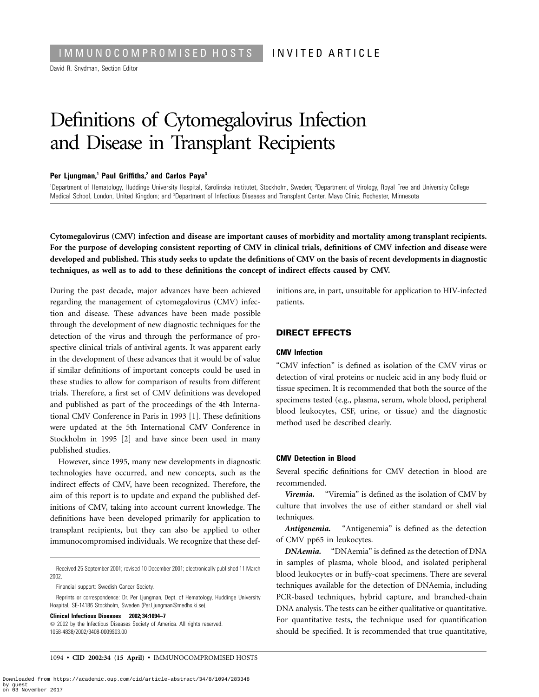David R. Snydman, Section Editor

# Definitions of Cytomegalovirus Infection and Disease in Transplant Recipients

#### **Per Ljungman,1 Paul Griffiths,2 and Carlos Paya3**

'Department of Hematology, Huddinge University Hospital, Karolinska Institutet, Stockholm, Sweden; <sup>2</sup>Department of Virology, Royal Free and University College Medical School, London, United Kingdom; and <sup>3</sup>Department of Infectious Diseases and Transplant Center, Mayo Clinic, Rochester, Minnesota

**Cytomegalovirus (CMV) infection and disease are important causes of morbidity and mortality among transplant recipients. For the purpose of developing consistent reporting of CMV in clinical trials, definitions of CMV infection and disease were developed and published. This study seeks to update the definitions of CMV on the basis of recent developments in diagnostic techniques, as well as to add to these definitions the concept of indirect effects caused by CMV.**

During the past decade, major advances have been achieved regarding the management of cytomegalovirus (CMV) infection and disease. These advances have been made possible through the development of new diagnostic techniques for the detection of the virus and through the performance of prospective clinical trials of antiviral agents. It was apparent early in the development of these advances that it would be of value if similar definitions of important concepts could be used in these studies to allow for comparison of results from different trials. Therefore, a first set of CMV definitions was developed and published as part of the proceedings of the 4th International CMV Conference in Paris in 1993 [1]. These definitions were updated at the 5th International CMV Conference in Stockholm in 1995 [2] and have since been used in many published studies.

However, since 1995, many new developments in diagnostic technologies have occurred, and new concepts, such as the indirect effects of CMV, have been recognized. Therefore, the aim of this report is to update and expand the published definitions of CMV, taking into account current knowledge. The definitions have been developed primarily for application to transplant recipients, but they can also be applied to other immunocompromised individuals. We recognize that these def-

Received 25 September 2001; revised 10 December 2001; electronically published 11 March 2002.

Financial support: Swedish Cancer Society.

Reprints or correspondence: Dr. Per Ljungman, Dept. of Hematology, Huddinge University Hospital, SE-14186 Stockholm, Sweden (Per.Ljungman@medhs.ki.se).

**Clinical Infectious Diseases 2002; 34:1094–7**

 $\degree$  2002 by the Infectious Diseases Society of America. All rights reserved. 1058-4838/2002/3408-0009\$03.00

1094 • **CID 2002:34 (15 April)** • IMMUNOCOMPROMISED HOSTS

initions are, in part, unsuitable for application to HIV-infected patients.

# **DIRECT EFFECTS**

### **CMV Infection**

"CMV infection" is defined as isolation of the CMV virus or detection of viral proteins or nucleic acid in any body fluid or tissue specimen. It is recommended that both the source of the specimens tested (e.g., plasma, serum, whole blood, peripheral blood leukocytes, CSF, urine, or tissue) and the diagnostic method used be described clearly.

#### **CMV Detection in Blood**

Several specific definitions for CMV detection in blood are recommended.

*Viremia.* "Viremia" is defined as the isolation of CMV by culture that involves the use of either standard or shell vial techniques.

*Antigenemia.* "Antigenemia" is defined as the detection of CMV pp65 in leukocytes.

*DNAemia.* "DNAemia" is defined as the detection of DNA in samples of plasma, whole blood, and isolated peripheral blood leukocytes or in buffy-coat specimens. There are several techniques available for the detection of DNAemia, including PCR-based techniques, hybrid capture, and branched-chain DNA analysis. The tests can be either qualitative or quantitative. For quantitative tests, the technique used for quantification should be specified. It is recommended that true quantitative,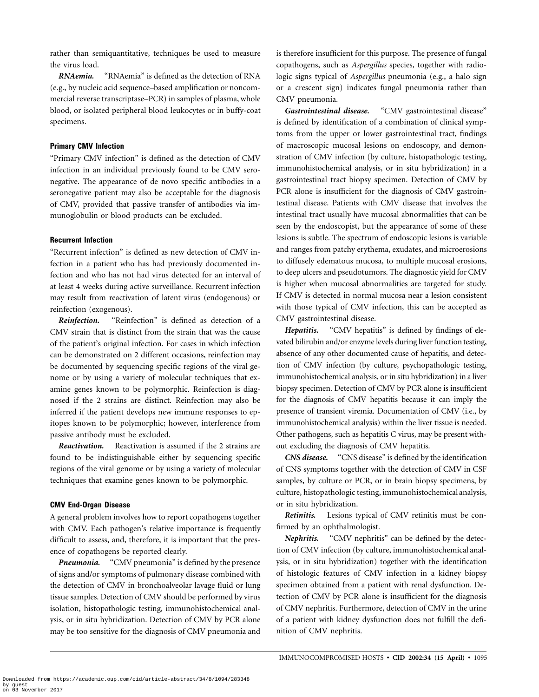rather than semiquantitative, techniques be used to measure the virus load.

*RNAemia.* "RNAemia" is defined as the detection of RNA (e.g., by nucleic acid sequence–based amplification or noncommercial reverse transcriptase–PCR) in samples of plasma, whole blood, or isolated peripheral blood leukocytes or in buffy-coat specimens.

# **Primary CMV Infection**

"Primary CMV infection" is defined as the detection of CMV infection in an individual previously found to be CMV seronegative. The appearance of de novo specific antibodies in a seronegative patient may also be acceptable for the diagnosis of CMV, provided that passive transfer of antibodies via immunoglobulin or blood products can be excluded.

## **Recurrent Infection**

"Recurrent infection" is defined as new detection of CMV infection in a patient who has had previously documented infection and who has not had virus detected for an interval of at least 4 weeks during active surveillance. Recurrent infection may result from reactivation of latent virus (endogenous) or reinfection (exogenous).

*Reinfection.* "Reinfection" is defined as detection of a CMV strain that is distinct from the strain that was the cause of the patient's original infection. For cases in which infection can be demonstrated on 2 different occasions, reinfection may be documented by sequencing specific regions of the viral genome or by using a variety of molecular techniques that examine genes known to be polymorphic. Reinfection is diagnosed if the 2 strains are distinct. Reinfection may also be inferred if the patient develops new immune responses to epitopes known to be polymorphic; however, interference from passive antibody must be excluded.

*Reactivation.* Reactivation is assumed if the 2 strains are found to be indistinguishable either by sequencing specific regions of the viral genome or by using a variety of molecular techniques that examine genes known to be polymorphic.

### **CMV End-Organ Disease**

A general problem involves how to report copathogens together with CMV. Each pathogen's relative importance is frequently difficult to assess, and, therefore, it is important that the presence of copathogens be reported clearly.

*Pneumonia.* "CMV pneumonia" is defined by the presence of signs and/or symptoms of pulmonary disease combined with the detection of CMV in bronchoalveolar lavage fluid or lung tissue samples. Detection of CMV should be performed by virus isolation, histopathologic testing, immunohistochemical analysis, or in situ hybridization. Detection of CMV by PCR alone may be too sensitive for the diagnosis of CMV pneumonia and

is therefore insufficient for this purpose. The presence of fungal copathogens, such as *Aspergillus* species, together with radiologic signs typical of *Aspergillus* pneumonia (e.g., a halo sign or a crescent sign) indicates fungal pneumonia rather than CMV pneumonia.

*Gastrointestinal disease.* "CMV gastrointestinal disease" is defined by identification of a combination of clinical symptoms from the upper or lower gastrointestinal tract, findings of macroscopic mucosal lesions on endoscopy, and demonstration of CMV infection (by culture, histopathologic testing, immunohistochemical analysis, or in situ hybridization) in a gastrointestinal tract biopsy specimen. Detection of CMV by PCR alone is insufficient for the diagnosis of CMV gastrointestinal disease. Patients with CMV disease that involves the intestinal tract usually have mucosal abnormalities that can be seen by the endoscopist, but the appearance of some of these lesions is subtle. The spectrum of endoscopic lesions is variable and ranges from patchy erythema, exudates, and microerosions to diffusely edematous mucosa, to multiple mucosal erosions, to deep ulcers and pseudotumors. The diagnostic yield for CMV is higher when mucosal abnormalities are targeted for study. If CMV is detected in normal mucosa near a lesion consistent with those typical of CMV infection, this can be accepted as CMV gastrointestinal disease.

*Hepatitis.* "CMV hepatitis" is defined by findings of elevated bilirubin and/or enzyme levels during liver function testing, absence of any other documented cause of hepatitis, and detection of CMV infection (by culture, psychopathologic testing, immunohistochemical analysis, or in situ hybridization) in a liver biopsy specimen. Detection of CMV by PCR alone is insufficient for the diagnosis of CMV hepatitis because it can imply the presence of transient viremia. Documentation of CMV (i.e., by immunohistochemical analysis) within the liver tissue is needed. Other pathogens, such as hepatitis C virus, may be present without excluding the diagnosis of CMV hepatitis.

*CNS disease.* "CNS disease" is defined by the identification of CNS symptoms together with the detection of CMV in CSF samples, by culture or PCR, or in brain biopsy specimens, by culture, histopathologic testing, immunohistochemical analysis, or in situ hybridization.

*Retinitis.* Lesions typical of CMV retinitis must be confirmed by an ophthalmologist.

*Nephritis.* "CMV nephritis" can be defined by the detection of CMV infection (by culture, immunohistochemical analysis, or in situ hybridization) together with the identification of histologic features of CMV infection in a kidney biopsy specimen obtained from a patient with renal dysfunction. Detection of CMV by PCR alone is insufficient for the diagnosis of CMV nephritis. Furthermore, detection of CMV in the urine of a patient with kidney dysfunction does not fulfill the definition of CMV nephritis.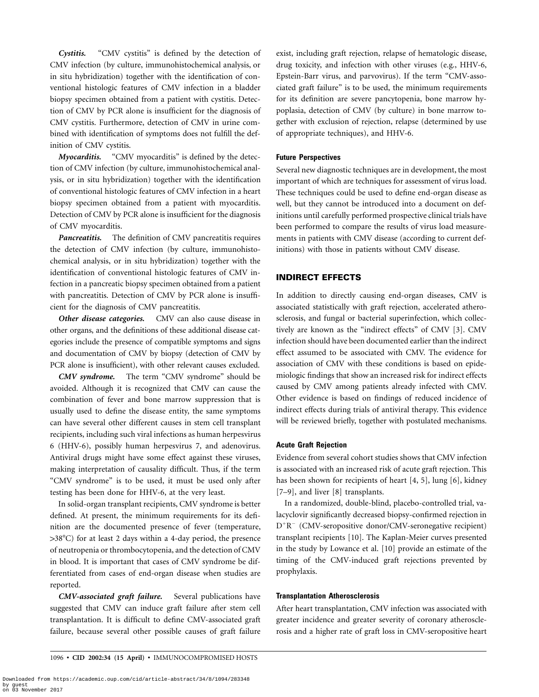*Cystitis.* "CMV cystitis" is defined by the detection of CMV infection (by culture, immunohistochemical analysis, or in situ hybridization) together with the identification of conventional histologic features of CMV infection in a bladder biopsy specimen obtained from a patient with cystitis. Detection of CMV by PCR alone is insufficient for the diagnosis of CMV cystitis. Furthermore, detection of CMV in urine combined with identification of symptoms does not fulfill the definition of CMV cystitis.

*Myocarditis.* "CMV myocarditis" is defined by the detection of CMV infection (by culture, immunohistochemical analysis, or in situ hybridization) together with the identification of conventional histologic features of CMV infection in a heart biopsy specimen obtained from a patient with myocarditis. Detection of CMV by PCR alone is insufficient for the diagnosis of CMV myocarditis.

*Pancreatitis.* The definition of CMV pancreatitis requires the detection of CMV infection (by culture, immunohistochemical analysis, or in situ hybridization) together with the identification of conventional histologic features of CMV infection in a pancreatic biopsy specimen obtained from a patient with pancreatitis. Detection of CMV by PCR alone is insufficient for the diagnosis of CMV pancreatitis.

*Other disease categories.* CMV can also cause disease in other organs, and the definitions of these additional disease categories include the presence of compatible symptoms and signs and documentation of CMV by biopsy (detection of CMV by PCR alone is insufficient), with other relevant causes excluded.

*CMV syndrome.* The term "CMV syndrome" should be avoided. Although it is recognized that CMV can cause the combination of fever and bone marrow suppression that is usually used to define the disease entity, the same symptoms can have several other different causes in stem cell transplant recipients, including such viral infections as human herpesvirus 6 (HHV-6), possibly human herpesvirus 7, and adenovirus. Antiviral drugs might have some effect against these viruses, making interpretation of causality difficult. Thus, if the term "CMV syndrome" is to be used, it must be used only after testing has been done for HHV-6, at the very least.

In solid-organ transplant recipients, CMV syndrome is better defined. At present, the minimum requirements for its definition are the documented presence of fever (temperature,  $>38^{\circ}$ C) for at least 2 days within a 4-day period, the presence of neutropenia or thrombocytopenia, and the detection of CMV in blood. It is important that cases of CMV syndrome be differentiated from cases of end-organ disease when studies are reported.

*CMV-associated graft failure.* Several publications have suggested that CMV can induce graft failure after stem cell transplantation. It is difficult to define CMV-associated graft failure, because several other possible causes of graft failure exist, including graft rejection, relapse of hematologic disease, drug toxicity, and infection with other viruses (e.g., HHV-6, Epstein-Barr virus, and parvovirus). If the term "CMV-associated graft failure" is to be used, the minimum requirements for its definition are severe pancytopenia, bone marrow hypoplasia, detection of CMV (by culture) in bone marrow together with exclusion of rejection, relapse (determined by use of appropriate techniques), and HHV-6.

#### **Future Perspectives**

Several new diagnostic techniques are in development, the most important of which are techniques for assessment of virus load. These techniques could be used to define end-organ disease as well, but they cannot be introduced into a document on definitions until carefully performed prospective clinical trials have been performed to compare the results of virus load measurements in patients with CMV disease (according to current definitions) with those in patients without CMV disease.

# **INDIRECT EFFECTS**

In addition to directly causing end-organ diseases, CMV is associated statistically with graft rejection, accelerated atherosclerosis, and fungal or bacterial superinfection, which collectively are known as the "indirect effects" of CMV [3]. CMV infection should have been documented earlier than the indirect effect assumed to be associated with CMV. The evidence for association of CMV with these conditions is based on epidemiologic findings that show an increased risk for indirect effects caused by CMV among patients already infected with CMV. Other evidence is based on findings of reduced incidence of indirect effects during trials of antiviral therapy. This evidence will be reviewed briefly, together with postulated mechanisms.

## **Acute Graft Rejection**

Evidence from several cohort studies shows that CMV infection is associated with an increased risk of acute graft rejection. This has been shown for recipients of heart [4, 5], lung [6], kidney [7–9], and liver [8] transplants.

In a randomized, double-blind, placebo-controlled trial, valacyclovir significantly decreased biopsy-confirmed rejection in D<sup>+</sup>R<sup>-</sup> (CMV-seropositive donor/CMV-seronegative recipient) transplant recipients [10]. The Kaplan-Meier curves presented in the study by Lowance et al. [10] provide an estimate of the timing of the CMV-induced graft rejections prevented by prophylaxis.

## **Transplantation Atherosclerosis**

After heart transplantation, CMV infection was associated with greater incidence and greater severity of coronary atherosclerosis and a higher rate of graft loss in CMV-seropositive heart